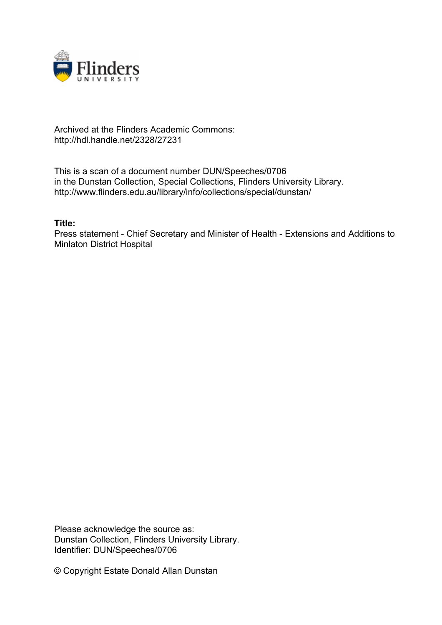

## Archived at the Flinders Academic Commons: http://hdl.handle.net/2328/27231

This is a scan of a document number DUN/Speeches/0706 in the Dunstan Collection, Special Collections, Flinders University Library. http://www.flinders.edu.au/library/info/collections/special/dunstan/

## **Title:**

Press statement - Chief Secretary and Minister of Health - Extensions and Additions to Minlaton District Hospital

Please acknowledge the source as: Dunstan Collection, Flinders University Library. Identifier: DUN/Speeches/0706

© Copyright Estate Donald Allan Dunstan